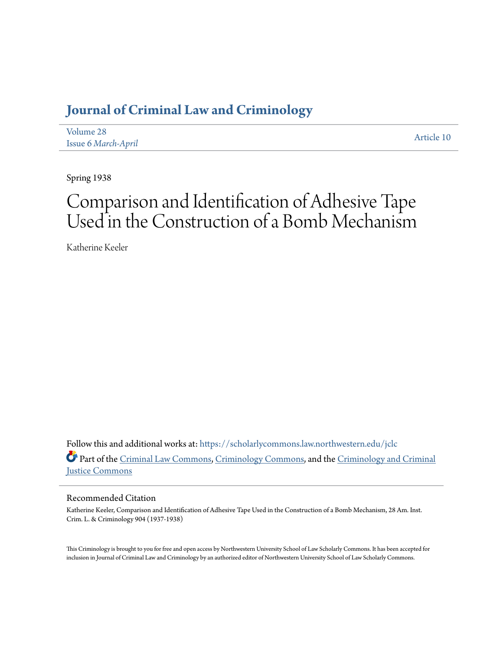## **[Journal of Criminal Law and Criminology](https://scholarlycommons.law.northwestern.edu/jclc?utm_source=scholarlycommons.law.northwestern.edu%2Fjclc%2Fvol28%2Fiss6%2F10&utm_medium=PDF&utm_campaign=PDFCoverPages)**

| Volume 28           | Article 10 |
|---------------------|------------|
| Issue 6 March-April |            |

Spring 1938

# Comparison and Identification of Adhesive Tape Used in the Construction of a Bomb Mechanism

Katherine Keeler

Follow this and additional works at: [https://scholarlycommons.law.northwestern.edu/jclc](https://scholarlycommons.law.northwestern.edu/jclc?utm_source=scholarlycommons.law.northwestern.edu%2Fjclc%2Fvol28%2Fiss6%2F10&utm_medium=PDF&utm_campaign=PDFCoverPages) Part of the [Criminal Law Commons](http://network.bepress.com/hgg/discipline/912?utm_source=scholarlycommons.law.northwestern.edu%2Fjclc%2Fvol28%2Fiss6%2F10&utm_medium=PDF&utm_campaign=PDFCoverPages), [Criminology Commons](http://network.bepress.com/hgg/discipline/417?utm_source=scholarlycommons.law.northwestern.edu%2Fjclc%2Fvol28%2Fiss6%2F10&utm_medium=PDF&utm_campaign=PDFCoverPages), and the [Criminology and Criminal](http://network.bepress.com/hgg/discipline/367?utm_source=scholarlycommons.law.northwestern.edu%2Fjclc%2Fvol28%2Fiss6%2F10&utm_medium=PDF&utm_campaign=PDFCoverPages) [Justice Commons](http://network.bepress.com/hgg/discipline/367?utm_source=scholarlycommons.law.northwestern.edu%2Fjclc%2Fvol28%2Fiss6%2F10&utm_medium=PDF&utm_campaign=PDFCoverPages)

### Recommended Citation

Katherine Keeler, Comparison and Identification of Adhesive Tape Used in the Construction of a Bomb Mechanism, 28 Am. Inst. Crim. L. & Criminology 904 (1937-1938)

This Criminology is brought to you for free and open access by Northwestern University School of Law Scholarly Commons. It has been accepted for inclusion in Journal of Criminal Law and Criminology by an authorized editor of Northwestern University School of Law Scholarly Commons.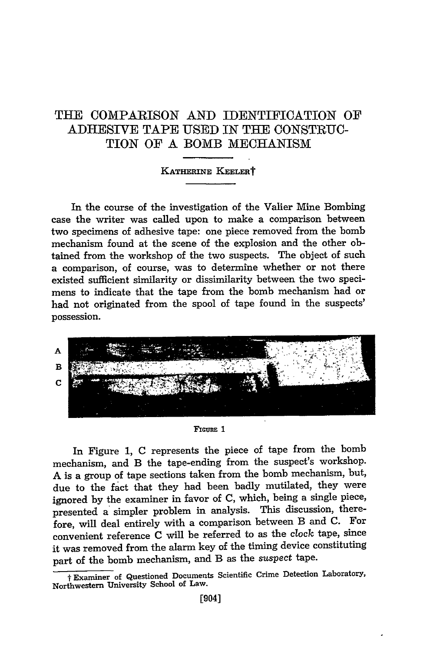## THE COMPARISON AND IDENTIFICATION OF ADHESIVE TAPE USED IN THE CONSTRUC-TION OF **A BOMB** MECHANISM

#### KATHERINE KEELERT

In the course of the investigation of the Valier Mine Bombing case the writer was called upon to make a comparison between two specimens of adhesive tape: one piece removed from the bomb mechanism found at the scene of the explosion and the other obtained from the workshop of the two suspects. The object of such a comparison, of course, was to determine whether or not there existed sufficient similarity or dissimilarity between the two specimens to indicate that the tape from the bomb mechanism had or had not originated from the spool of tape found in the suspects' possession.

A  $\, {\bf B}$ C \* '

**FiGuRE** 1

In Figure 1, C represents the piece of tape from the bomb mechanism, and B the tape-ending from the suspect's workshop. A is a group of tape sections taken from the bomb mechanism, but, due to the fact that they had been badly mutilated, they were ignored by the examiner in favor of C, which, being a single piece, presented a simpler problem in analysis. This discussion, therefore, will deal entirely with a comparison between B and C. For convenient reference C will be referred to as the *clock* tape, since it was removed from the alarm key of the timing device constituting part of the bomb mechanism, and B as the *suspect* tape.

**<sup>-</sup>**Examiner of Questioned Documents Scientific Crime Detection Laboratory, Northwestern University School of Law.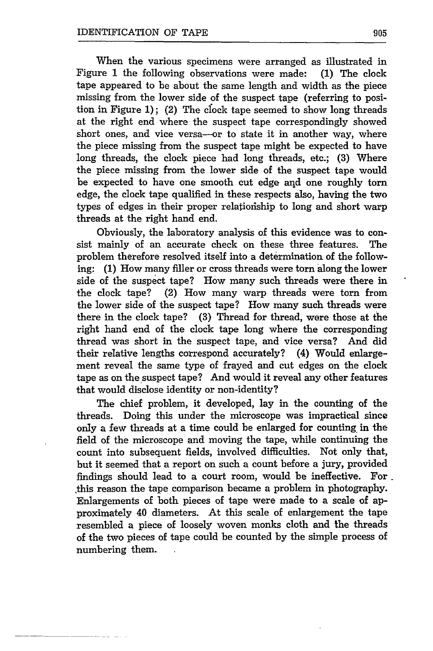When the various specimens were arranged as illustrated in Figure 1 the following observations were made: (1) The clock tape appeared to be about the same length and width as the piece missing from the lower side of the suspect tape (referring to position in Figure 1); (2) The clock tape seemed to show long threads at the right end where the suspect tape correspondingly showed short ones, and vice versa--or to state it in another way, where the piece missing from the suspect tape might be expected to have long threads, the clock piece had long threads, etc.; (3) Where the piece missing from the lower side of the suspect tape would be expected to have one smooth cut edge and one roughly torn edge, the clock tape qualified in these respects also, having the two types of edges in their proper relationship to long and short warp threads at the right hand end.

Obviously, the laboratory analysis of this evidence was to consist mainly of an accurate check on these three features. The problem therefore resolved itself into a determination of the following: (1) How many filler or cross threads were torn along the lower side of the suspect tape? How many such threads were there in the clock tape? (2) How many warp threads were torn from the lower side of the suspect tape? How many such threads were there in the clock tape? (3) Thread for thread, were those at the right hand end of the clock tape long where the corresponding thread was short in the suspect tape, and vice versa? And did their relative lengths correspond accurately? (4) Would enlargement reveal the same type of frayed and cut edges on the clock tape as on the suspect tape? And would it reveal any other features that would disclose identity or non-identity?

The chief problem, it developed, lay in the counting of the threads. Doing this under the microscope was impractical since only a few threads at a time could be enlarged for counting in the field of the microscope and moving the tape, while continuing the count into subsequent fields, involved difficulties. Not only that, but it seemed that a report on such a count before a jury, provided findings should lead to a court room, would be ineffective. For this reason the tape comparison became a problem in photography. Enlargements of both pieces of tape were made to a scale of approximately 40 diameters. At this scale of enlargement the tape resembled a piece of loosely woven monks cloth and the threads of the two pieces of tape could be counted by the simple process of numbering them.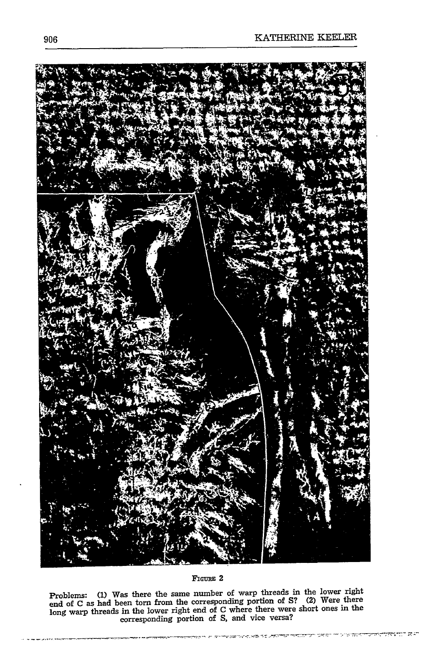

#### FIGURE 2

Problems: **(1)** Was there the same number of warp threads in the lower right end of C as had been tore that all the corresponding portion of S? (2) Were there<br>long warp threads in the lower right end of C where there were short ones in the<br>corresponding portion of S, and vice versa?

ווא בין המייח במקור בין המייח המייח במייח המייח במייח במייח במייח במייח במייח במייח במייח במייח המייח במייח במ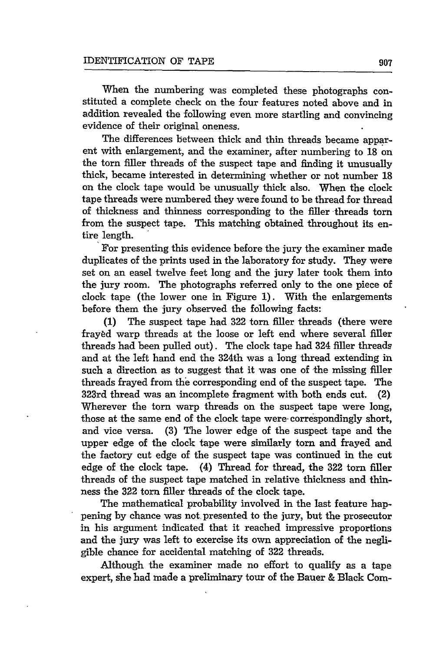When the numbering was completed these photographs constituted a complete check on the four features noted above and in addition revealed the following even more startling and convincing evidence of their original oneness.

The differences between thick and thin threads became apparent with enlargement, and the examiner, after numbering to **18** on the torn filler threads of the suspect tape and finding it unusually thick, became interested in determining whether or not number 18 on the clock tape would be unusually thick also. When the clock tape threads were numbered they were found to be thread for thread of thickness and thinness corresponding to the filler threads torn from the suspect tape. This matching obtained throughout its entire length.

For presenting this evidence before the jury the examiner made duplicates of the prints used in the laboratory for study. They were set on an easel twelve feet long and the jury later took them into the jury room. The photographs referred only to the one piece of clock tape (the lower one in Figure 1). With the enlargements before them the jury observed the following facts:

(1) The suspect tape had 322 torn filler threads (there were frayed warp threads at the loose or left end where several filler threads had been pulled out). The clock tape had 324 filler threads and at the left hand end the 324th was a long thread extending in such a direction as to suggest that it was one of the missing filler threads frayed from the corresponding end of the suspect tape. The 323rd thread was an incomplete fragment with both ends cut. (2) Wherever the torn warp threads on the suspect tape were long, those at the same end of the clock tape were. correspondingly short, and vice versa. (3) The lower edge of the suspect tape and the upper edge of the clock tape were similarly torn and frayed and the factory cut edge of the suspect tape was continued in the cut edge of the clock tape. (4) Thread for thread, the 322 torn filler threads of the suspect tape matched in relative thickness and thinness the 322 torn filler threads of the clock tape.

The mathematical probability involved in the last feature happening by chance was not presented to the jury, but the prosecutor in his argument indicated that it reached impressive proportions and the jury was left to exercise its own appreciation of the negligible chance for accidental matching of **322** threads.

Although the examiner made no effort to qualify as a tape expert, she had made a preliminary tour of the Bauer & Black Com